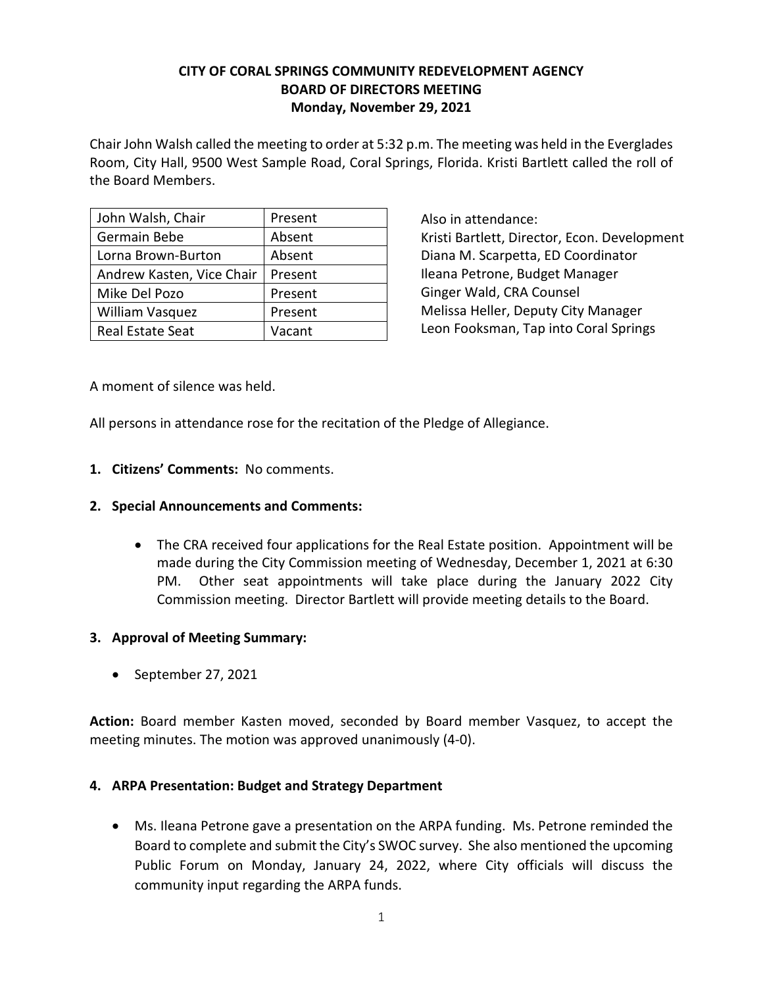# **CITY OF CORAL SPRINGS COMMUNITY REDEVELOPMENT AGENCY BOARD OF DIRECTORS MEETING Monday, November 29, 2021**

 Chair John Walsh called the meeting to order at 5:32 p.m. The meeting was held in the Everglades Room, City Hall, 9500 West Sample Road, Coral Springs, Florida. Kristi Bartlett called the roll of the Board Members.

| John Walsh, Chair         | Present |
|---------------------------|---------|
| Germain Bebe              | Absent  |
| Lorna Brown-Burton        | Absent  |
| Andrew Kasten, Vice Chair | Present |
| Mike Del Pozo             | Present |
| <b>William Vasquez</b>    | Present |
| <b>Real Estate Seat</b>   | Vacant  |

 Ileana Petrone, Budget Manager Also in attendance: Kristi Bartlett, Director, Econ. Development Diana M. Scarpetta, ED Coordinator Ginger Wald, CRA Counsel Melissa Heller, Deputy City Manager Leon Fooksman, Tap into Coral Springs

A moment of silence was held.

All persons in attendance rose for the recitation of the Pledge of Allegiance.

# **1. Citizens' Comments:** No comments.

#### **2. Special Announcements and Comments:**

 Commission meeting. Director Bartlett will provide meeting details to the Board. • The CRA received four applications for the Real Estate position. Appointment will be made during the City Commission meeting of Wednesday, December 1, 2021 at 6:30 PM. Other seat appointments will take place during the January 2022 City

## **3. Approval of Meeting Summary:**

• September 27, 2021

 **Action:** Board member Kasten moved, seconded by Board member Vasquez, to accept the meeting minutes. The motion was approved unanimously (4-0).

#### **4. ARPA Presentation: Budget and Strategy Department**

 • Ms. Ileana Petrone gave a presentation on the ARPA funding. Ms. Petrone reminded the Board to complete and submit the City's SWOC survey. She also mentioned the upcoming Public Forum on Monday, January 24, 2022, where City officials will discuss the community input regarding the ARPA funds.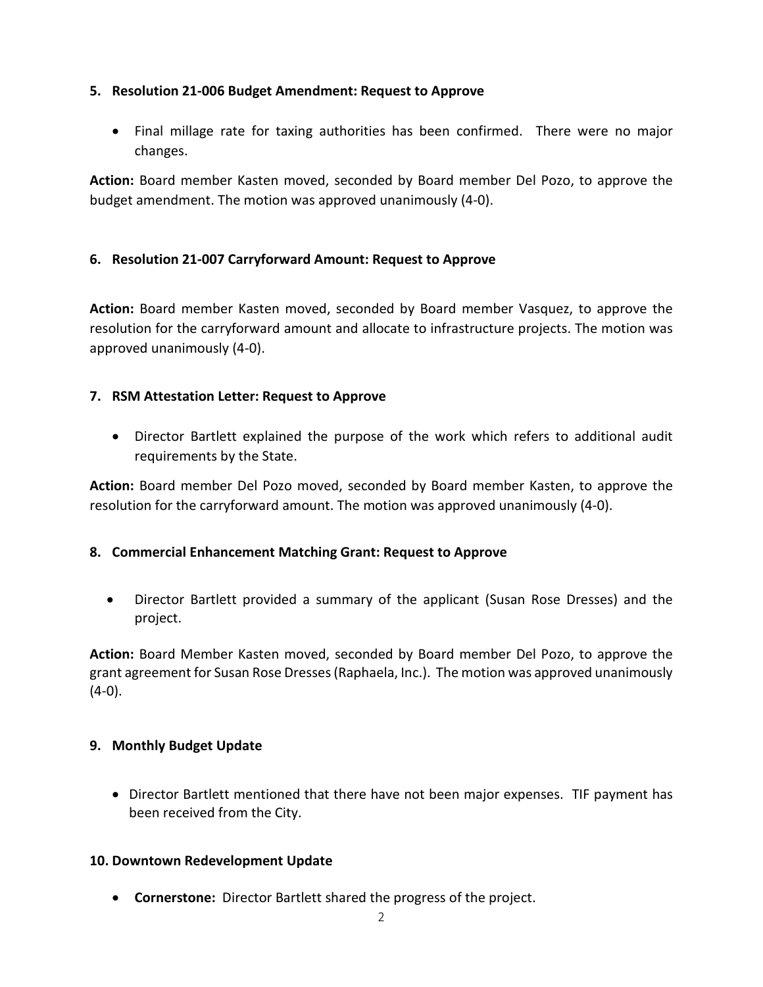### **5. Resolution 21-006 Budget Amendment: Request to Approve**

 • Final millage rate for taxing authorities has been confirmed. There were no major changes.

**Action:** Board member Kasten moved, seconded by Board member Del Pozo, to approve the budget amendment. The motion was approved unanimously (4-0).

### **6. Resolution 21-007 Carryforward Amount: Request to Approve**

 **Action:** Board member Kasten moved, seconded by Board member Vasquez, to approve the resolution for the carryforward amount and allocate to infrastructure projects. The motion was approved unanimously (4-0).

## **7. RSM Attestation Letter: Request to Approve**

 • Director Bartlett explained the purpose of the work which refers to additional audit requirements by the State.

**Action:** Board member Del Pozo moved, seconded by Board member Kasten, to approve the resolution for the carryforward amount. The motion was approved unanimously (4-0).

# **8. Commercial Enhancement Matching Grant: Request to Approve**

• Director Bartlett provided a summary of the applicant (Susan Rose Dresses) and the project.

 **Action:** Board Member Kasten moved, seconded by Board member Del Pozo, to approve the grant agreement for Susan Rose Dresses (Raphaela, Inc.). The motion was approved unanimously  $(4-0).$ 

#### **9. Monthly Budget Update**

 • Director Bartlett mentioned that there have not been major expenses. TIF payment has been received from the City.

#### **10. Downtown Redevelopment Update**

• **Cornerstone:** Director Bartlett shared the progress of the project.